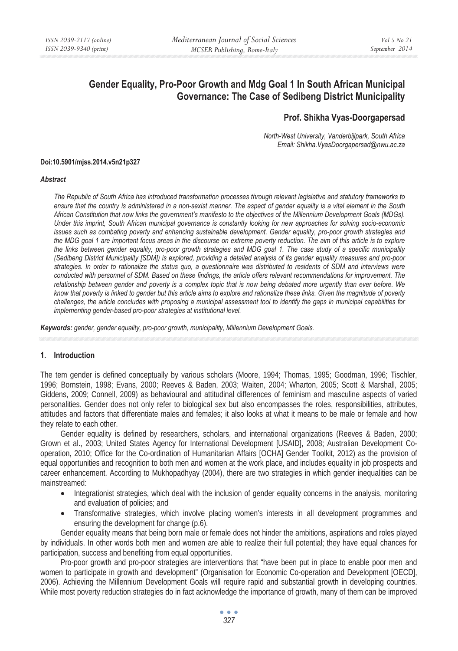# **Gender Equality, Pro-Poor Growth and Mdg Goal 1 In South African Municipal Governance: The Case of Sedibeng District Municipality**

# **Prof. Shikha Vyas-Doorgapersad**

*North-West University, Vanderbijlpark, South Africa Email: Shikha.VyasDoorgapersad@nwu.ac.za* 

#### **Doi:10.5901/mjss.2014.v5n21p327**

#### *Abstract*

*The Republic of South Africa has introduced transformation processes through relevant legislative and statutory frameworks to ensure that the country is administered in a non-sexist manner. The aspect of gender equality is a vital element in the South African Constitution that now links the government's manifesto to the objectives of the Millennium Development Goals (MDGs). Under this imprint, South African municipal governance is constantly looking for new approaches for solving socio-economic issues such as combating poverty and enhancing sustainable development. Gender equality, pro-poor growth strategies and the MDG goal 1 are important focus areas in the discourse on extreme poverty reduction. The aim of this article is to explore the links between gender equality, pro-poor growth strategies and MDG goal 1. The case study of a specific municipality (Sedibeng District Municipality [SDM]) is explored, providing a detailed analysis of its gender equality measures and pro-poor strategies. In order to rationalize the status quo, a questionnaire was distributed to residents of SDM and interviews were conducted with personnel of SDM. Based on these findings, the article offers relevant recommendations for improvement. The relationship between gender and poverty is a complex topic that is now being debated more urgently than ever before. We know that poverty is linked to gender but this article aims to explore and rationalize these links. Given the magnitude of poverty challenges, the article concludes with proposing a municipal assessment tool to identify the gaps in municipal capabilities for implementing gender-based pro-poor strategies at institutional level.* 

*Keywords: gender, gender equality, pro-poor growth, municipality, Millennium Development Goals.*

#### **1. Introduction**

The tem gender is defined conceptually by various scholars (Moore, 1994; Thomas, 1995; Goodman, 1996; Tischler, 1996; Bornstein, 1998; Evans, 2000; Reeves & Baden, 2003; Waiten, 2004; Wharton, 2005; Scott & Marshall, 2005; Giddens, 2009; Connell, 2009) as behavioural and attitudinal differences of feminism and masculine aspects of varied personalities. Gender does not only refer to biological sex but also encompasses the roles, responsibilities, attributes, attitudes and factors that differentiate males and females; it also looks at what it means to be male or female and how they relate to each other.

Gender equality is defined by researchers, scholars, and international organizations (Reeves & Baden, 2000; Grown et al., 2003; United States Agency for International Development [USAID], 2008; Australian Development Cooperation, 2010; Office for the Co-ordination of Humanitarian Affairs [OCHA] Gender Toolkit, 2012) as the provision of equal opportunities and recognition to both men and women at the work place, and includes equality in job prospects and career enhancement. According to Mukhopadhyay (2004), there are two strategies in which gender inequalities can be mainstreamed:

- Integrationist strategies, which deal with the inclusion of gender equality concerns in the analysis, monitoring and evaluation of policies; and
- Transformative strategies, which involve placing women's interests in all development programmes and ensuring the development for change (p.6).

Gender equality means that being born male or female does not hinder the ambitions, aspirations and roles played by individuals. In other words both men and women are able to realize their full potential; they have equal chances for participation, success and benefiting from equal opportunities.

Pro-poor growth and pro-poor strategies are interventions that "have been put in place to enable poor men and women to participate in growth and development" (Organisation for Economic Co-operation and Development [OECD], 2006). Achieving the Millennium Development Goals will require rapid and substantial growth in developing countries. While most poverty reduction strategies do in fact acknowledge the importance of growth, many of them can be improved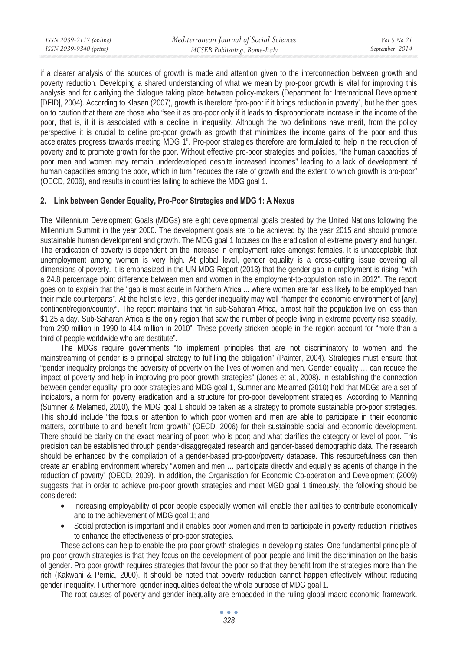| ISSN 2039-2117 (online) | Mediterranean Journal of Social Sciences | Vol 5 No 21    |
|-------------------------|------------------------------------------|----------------|
| ISSN 2039-9340 (print)  | MCSER Publishing, Rome-Italy             | September 2014 |
|                         |                                          |                |

if a clearer analysis of the sources of growth is made and attention given to the interconnection between growth and poverty reduction. Developing a shared understanding of what we mean by pro-poor growth is vital for improving this analysis and for clarifying the dialogue taking place between policy-makers (Department for International Development [DFID], 2004). According to Klasen (2007), growth is therefore "pro-poor if it brings reduction in poverty", but he then goes on to caution that there are those who "see it as pro-poor only if it leads to disproportionate increase in the income of the poor, that is, if it is associated with a decline in inequality. Although the two definitions have merit, from the policy perspective it is crucial to define pro-poor growth as growth that minimizes the income gains of the poor and thus accelerates progress towards meeting MDG 1". Pro-poor strategies therefore are formulated to help in the reduction of poverty and to promote growth for the poor. Without effective pro-poor strategies and policies, "the human capacities of poor men and women may remain underdeveloped despite increased incomes" leading to a lack of development of human capacities among the poor, which in turn "reduces the rate of growth and the extent to which growth is pro-poor" (OECD, 2006), and results in countries failing to achieve the MDG goal 1.

#### **2. Link between Gender Equality, Pro-Poor Strategies and MDG 1: A Nexus**

The Millennium Development Goals (MDGs) are eight developmental goals created by the United Nations following the Millennium Summit in the year 2000. The development goals are to be achieved by the year 2015 and should promote sustainable human development and growth. The MDG goal 1 focuses on the eradication of extreme poverty and hunger. The eradication of poverty is dependent on the increase in employment rates amongst females. It is unacceptable that unemployment among women is very high. At global level, gender equality is a cross-cutting issue covering all dimensions of poverty. It is emphasized in the UN-MDG Report (2013) that the gender gap in employment is rising, "with a 24.8 percentage point difference between men and women in the employment-to-population ratio in 2012". The report goes on to explain that the "gap is most acute in Northern Africa ... where women are far less likely to be employed than their male counterparts". At the holistic level, this gender inequality may well "hamper the economic environment of [any] continent/region/country". The report maintains that "in sub-Saharan Africa, almost half the population live on less than \$1.25 a day. Sub-Saharan Africa is the only region that saw the number of people living in extreme poverty rise steadily, from 290 million in 1990 to 414 million in 2010". These poverty-stricken people in the region account for "more than a third of people worldwide who are destitute".

The MDGs require governments "to implement principles that are not discriminatory to women and the mainstreaming of gender is a principal strategy to fulfilling the obligation" (Painter, 2004). Strategies must ensure that "gender inequality prolongs the adversity of poverty on the lives of women and men. Gender equality … can reduce the impact of poverty and help in improving pro-poor growth strategies" (Jones et al., 2008). In establishing the connection between gender equality, pro-poor strategies and MDG goal 1, Sumner and Melamed (2010) hold that MDGs are a set of indicators, a norm for poverty eradication and a structure for pro-poor development strategies. According to Manning (Sumner & Melamed, 2010), the MDG goal 1 should be taken as a strategy to promote sustainable pro-poor strategies. This should include "the focus or attention to which poor women and men are able to participate in their economic matters, contribute to and benefit from growth" (OECD, 2006) for their sustainable social and economic development. There should be clarity on the exact meaning of poor; who is poor; and what clarifies the category or level of poor. This precision can be established through gender-disaggregated research and gender-based demographic data. The research should be enhanced by the compilation of a gender-based pro-poor/poverty database. This resourcefulness can then create an enabling environment whereby "women and men … participate directly and equally as agents of change in the reduction of poverty" (OECD, 2009). In addition, the Organisation for Economic Co-operation and Development (2009) suggests that in order to achieve pro-poor growth strategies and meet MGD goal 1 timeously, the following should be considered:

- Increasing employability of poor people especially women will enable their abilities to contribute economically and to the achievement of MDG goal 1; and
- Social protection is important and it enables poor women and men to participate in poverty reduction initiatives to enhance the effectiveness of pro-poor strategies.

These actions can help to enable the pro-poor growth strategies in developing states. One fundamental principle of pro-poor growth strategies is that they focus on the development of poor people and limit the discrimination on the basis of gender. Pro-poor growth requires strategies that favour the poor so that they benefit from the strategies more than the rich (Kakwani & Pernia, 2000). It should be noted that poverty reduction cannot happen effectively without reducing gender inequality. Furthermore, gender inequalities defeat the whole purpose of MDG goal 1.

The root causes of poverty and gender inequality are embedded in the ruling global macro-economic framework.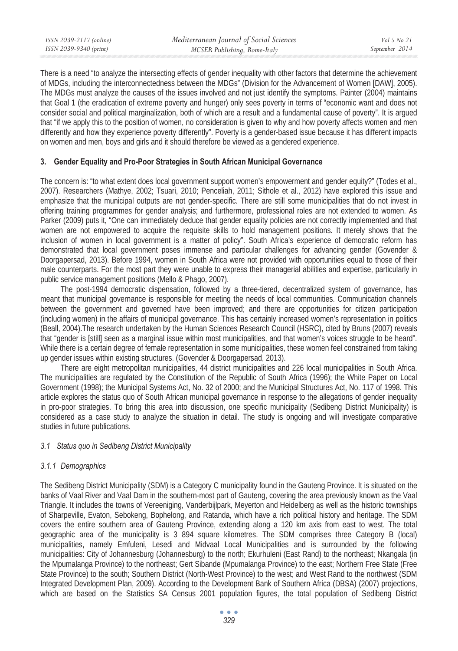| ISSN 2039-2117 (online) | Mediterranean Journal of Social Sciences | Vol 5 No 21    |
|-------------------------|------------------------------------------|----------------|
| ISSN 2039-9340 (print)  | MCSER Publishing, Rome-Italy             | September 2014 |
|                         |                                          |                |

There is a need "to analyze the intersecting effects of gender inequality with other factors that determine the achievement of MDGs, including the interconnectedness between the MDGs" (Division for the Advancement of Women [DAW], 2005). The MDGs must analyze the causes of the issues involved and not just identify the symptoms. Painter (2004) maintains that Goal 1 (the eradication of extreme poverty and hunger) only sees poverty in terms of "economic want and does not consider social and political marginalization, both of which are a result and a fundamental cause of poverty". It is argued that "if we apply this to the position of women, no consideration is given to why and how poverty affects women and men differently and how they experience poverty differently". Poverty is a gender-based issue because it has different impacts on women and men, boys and girls and it should therefore be viewed as a gendered experience.

## **3. Gender Equality and Pro-Poor Strategies in South African Municipal Governance**

The concern is: "to what extent does local government support women's empowerment and gender equity?" (Todes et al., 2007). Researchers (Mathye, 2002; Tsuari, 2010; Penceliah, 2011; Sithole et al., 2012) have explored this issue and emphasize that the municipal outputs are not gender-specific. There are still some municipalities that do not invest in offering training programmes for gender analysis; and furthermore, professional roles are not extended to women. As Parker (2009) puts it, "One can immediately deduce that gender equality policies are not correctly implemented and that women are not empowered to acquire the requisite skills to hold management positions. It merely shows that the inclusion of women in local government is a matter of policy". South Africa's experience of democratic reform has demonstrated that local government poses immense and particular challenges for advancing gender (Govender & Doorgapersad, 2013). Before 1994, women in South Africa were not provided with opportunities equal to those of their male counterparts. For the most part they were unable to express their managerial abilities and expertise, particularly in public service management positions (Mello & Phago, 2007).

The post-1994 democratic dispensation, followed by a three-tiered, decentralized system of governance, has meant that municipal governance is responsible for meeting the needs of local communities. Communication channels between the government and governed have been improved; and there are opportunities for citizen participation (including women) in the affairs of municipal governance. This has certainly increased women's representation in politics (Beall, 2004).The research undertaken by the Human Sciences Research Council (HSRC), cited by Bruns (2007) reveals that "gender is [still] seen as a marginal issue within most municipalities, and that women's voices struggle to be heard". While there is a certain degree of female representation in some municipalities, these women feel constrained from taking up gender issues within existing structures. (Govender & Doorgapersad, 2013).

There are eight metropolitan municipalities, 44 district municipalities and 226 local municipalities in South Africa. The municipalities are regulated by the Constitution of the Republic of South Africa (1996); the White Paper on Local Government (1998); the Municipal Systems Act, No. 32 of 2000; and the Municipal Structures Act, No. 117 of 1998. This article explores the status quo of South African municipal governance in response to the allegations of gender inequality in pro-poor strategies. To bring this area into discussion, one specific municipality (Sedibeng District Municipality) is considered as a case study to analyze the situation in detail. The study is ongoing and will investigate comparative studies in future publications.

#### *3.1 Status quo in Sedibeng District Municipality*

#### *3.1.1 Demographics*

The Sedibeng District Municipality (SDM) is a Category C municipality found in the Gauteng Province. It is situated on the banks of Vaal River and Vaal Dam in the southern-most part of Gauteng, covering the area previously known as the Vaal Triangle. It includes the towns of Vereeniging, Vanderbijlpark, Meyerton and Heidelberg as well as the historic townships of Sharpeville, Evaton, Sebokeng, Bophelong, and Ratanda, which have a rich political history and heritage. The SDM covers the entire southern area of Gauteng Province, extending along a 120 km axis from east to west. The total geographic area of the municipality is 3 894 square kilometres. The SDM comprises three Category B (local) municipalities, namely Emfuleni, Lesedi and Midvaal Local Municipalities and is surrounded by the following municipalities: City of Johannesburg (Johannesburg) to the north; Ekurhuleni (East Rand) to the northeast; Nkangala (in the Mpumalanga Province) to the northeast; Gert Sibande (Mpumalanga Province) to the east; Northern Free State (Free State Province) to the south; Southern District (North-West Province) to the west; and West Rand to the northwest (SDM Integrated Development Plan, 2009). According to the Development Bank of Southern Africa (DBSA) (2007) projections, which are based on the Statistics SA Census 2001 population figures, the total population of Sedibeng District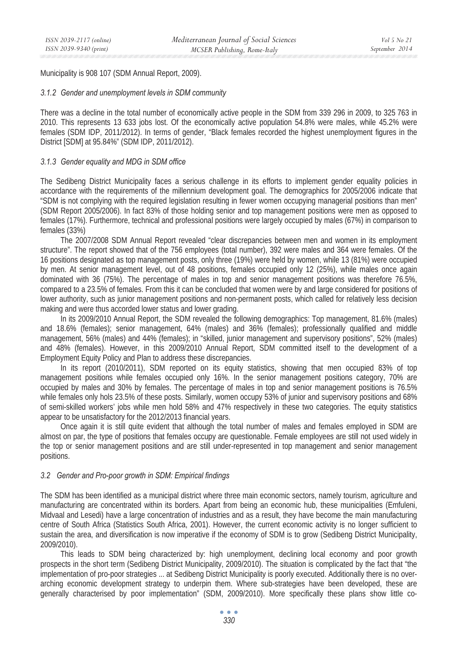Municipality is 908 107 (SDM Annual Report, 2009).

## *3.1.2 Gender and unemployment levels in SDM community*

There was a decline in the total number of economically active people in the SDM from 339 296 in 2009, to 325 763 in 2010. This represents 13 633 jobs lost. Of the economically active population 54.8% were males, while 45.2% were females (SDM IDP, 2011/2012). In terms of gender, "Black females recorded the highest unemployment figures in the District [SDM] at 95.84%" (SDM IDP, 2011/2012).

# *3.1.3 Gender equality and MDG in SDM office*

The Sedibeng District Municipality faces a serious challenge in its efforts to implement gender equality policies in accordance with the requirements of the millennium development goal. The demographics for 2005/2006 indicate that "SDM is not complying with the required legislation resulting in fewer women occupying managerial positions than men" (SDM Report 2005/2006). In fact 83% of those holding senior and top management positions were men as opposed to females (17%). Furthermore, technical and professional positions were largely occupied by males (67%) in comparison to females (33%)

The 2007/2008 SDM Annual Report revealed "clear discrepancies between men and women in its employment structure". The report showed that of the 756 employees (total number), 392 were males and 364 were females. Of the 16 positions designated as top management posts, only three (19%) were held by women, while 13 (81%) were occupied by men. At senior management level, out of 48 positions, females occupied only 12 (25%), while males once again dominated with 36 (75%). The percentage of males in top and senior management positions was therefore 76.5%, compared to a 23.5% of females. From this it can be concluded that women were by and large considered for positions of lower authority, such as junior management positions and non-permanent posts, which called for relatively less decision making and were thus accorded lower status and lower grading.

In its 2009/2010 Annual Report, the SDM revealed the following demographics: Top management, 81.6% (males) and 18.6% (females); senior management, 64% (males) and 36% (females); professionally qualified and middle management, 56% (males) and 44% (females); in "skilled, junior management and supervisory positions", 52% (males) and 48% (females). However, in this 2009/2010 Annual Report, SDM committed itself to the development of a Employment Equity Policy and Plan to address these discrepancies.

In its report (2010/2011), SDM reported on its equity statistics, showing that men occupied 83% of top management positions while females occupied only 16%. In the senior management positions category, 70% are occupied by males and 30% by females. The percentage of males in top and senior management positions is 76.5% while females only hols 23.5% of these posts. Similarly, women occupy 53% of junior and supervisory positions and 68% of semi-skilled workers' jobs while men hold 58% and 47% respectively in these two categories. The equity statistics appear to be unsatisfactory for the 2012/2013 financial years.

Once again it is still quite evident that although the total number of males and females employed in SDM are almost on par, the type of positions that females occupy are questionable. Female employees are still not used widely in the top or senior management positions and are still under-represented in top management and senior management positions.

#### *3.2 Gender and Pro-poor growth in SDM: Empirical findings*

The SDM has been identified as a municipal district where three main economic sectors, namely tourism, agriculture and manufacturing are concentrated within its borders. Apart from being an economic hub, these municipalities (Emfuleni, Midvaal and Lesedi) have a large concentration of industries and as a result, they have become the main manufacturing centre of South Africa (Statistics South Africa, 2001). However, the current economic activity is no longer sufficient to sustain the area, and diversification is now imperative if the economy of SDM is to grow (Sedibeng District Municipality, 2009/2010).

This leads to SDM being characterized by: high unemployment, declining local economy and poor growth prospects in the short term (Sedibeng District Municipality, 2009/2010). The situation is complicated by the fact that "the implementation of pro-poor strategies ... at Sedibeng District Municipality is poorly executed. Additionally there is no overarching economic development strategy to underpin them. Where sub-strategies have been developed, these are generally characterised by poor implementation" (SDM, 2009/2010). More specifically these plans show little co-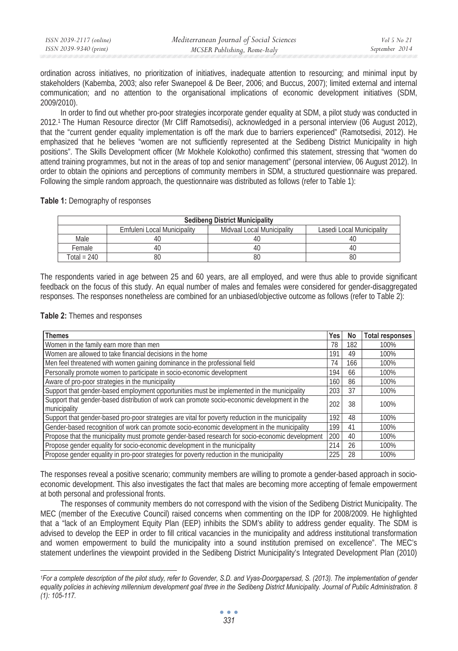| ISSN 2039-2117 (online) | Mediterranean Journal of Social Sciences | Vol 5 No 21    |
|-------------------------|------------------------------------------|----------------|
| ISSN 2039-9340 (print)  | MCSER Publishing, Rome-Italy             | September 2014 |

ordination across initiatives, no prioritization of initiatives, inadequate attention to resourcing; and minimal input by stakeholders (Kabemba, 2003; also refer Swanepoel & De Beer, 2006; and Buccus, 2007); limited external and internal communication; and no attention to the organisational implications of economic development initiatives (SDM, 2009/2010).

In order to find out whether pro-poor strategies incorporate gender equality at SDM, a pilot study was conducted in 2012.1 The Human Resource director (Mr Cliff Ramotsedisi), acknowledged in a personal interview (06 August 2012), that the "current gender equality implementation is off the mark due to barriers experienced" (Ramotsedisi, 2012). He emphasized that he believes "women are not sufficiently represented at the Sedibeng District Municipality in high positions". The Skills Development officer (Mr Mokhele Kolokotho) confirmed this statement, stressing that "women do attend training programmes, but not in the areas of top and senior management" (personal interview, 06 August 2012). In order to obtain the opinions and perceptions of community members in SDM, a structured questionnaire was prepared. Following the simple random approach, the questionnaire was distributed as follows (refer to Table 1):

**Table 1:** Demography of responses

| <b>Sedibeng District Municipality</b> |                             |                            |                           |
|---------------------------------------|-----------------------------|----------------------------|---------------------------|
|                                       | Emfuleni Local Municipality | Midvaal Local Municipality | Lasedi Local Municipality |
| Male                                  |                             |                            | -4t.                      |
| Female                                |                             |                            | -40                       |
| Total = 240                           | 80                          |                            | 80                        |

The respondents varied in age between 25 and 60 years, are all employed, and were thus able to provide significant feedback on the focus of this study. An equal number of males and females were considered for gender-disaggregated responses. The responses nonetheless are combined for an unbiased/objective outcome as follows (refer to Table 2):

**Table 2:** Themes and responses

| Themes                                                                                            | Yes | No  | <b>Total responses</b> |
|---------------------------------------------------------------------------------------------------|-----|-----|------------------------|
| Women in the family earn more than men                                                            | 78  | 182 | 100%                   |
| Women are allowed to take financial decisions in the home                                         | 191 | 49  | 100%                   |
| Men feel threatened with women gaining dominance in the professional field                        | 74  | 166 | 100%                   |
| Personally promote women to participate in socio-economic development                             | 194 | 66  | 100%                   |
| Aware of pro-poor strategies in the municipality                                                  | 160 | 86  | 100%                   |
| Support that gender-based employment opportunities must be implemented in the municipality        |     | 37  | 100%                   |
| Support that gender-based distribution of work can promote socio-economic development in the      |     | 38  | 100%                   |
| municipality                                                                                      | 202 |     |                        |
| Support that gender-based pro-poor strategies are vital for poverty reduction in the municipality | 192 | 48  | 100%                   |
| Gender-based recognition of work can promote socio-economic development in the municipality       |     | 41  | 100%                   |
| Propose that the municipality must promote gender-based research for socio-economic development   |     | 40  | 100%                   |
| Propose gender equality for socio-economic development in the municipality                        |     | 26  | 100%                   |
| Propose gender equality in pro-poor strategies for poverty reduction in the municipality          |     | 28  | 100%                   |

The responses reveal a positive scenario; community members are willing to promote a gender-based approach in socioeconomic development. This also investigates the fact that males are becoming more accepting of female empowerment at both personal and professional fronts.

The responses of community members do not correspond with the vision of the Sedibeng District Municipality. The MEC (member of the Executive Council) raised concerns when commenting on the IDP for 2008/2009. He highlighted that a "lack of an Employment Equity Plan (EEP) inhibits the SDM's ability to address gender equality. The SDM is advised to develop the EEP in order to fill critical vacancies in the municipality and address institutional transformation and women empowerment to build the municipality into a sound institution premised on excellence". The MEC's statement underlines the viewpoint provided in the Sedibeng District Municipality's Integrated Development Plan (2010)

*<sup>1</sup>For a complete description of the pilot study, refer to Govender, S.D. and Vyas-Doorgapersad, S. (2013). The implementation of gender equality policies in achieving millennium development goal three in the Sedibeng District Municipality. Journal of Public Administration. 8 (1): 105-117.*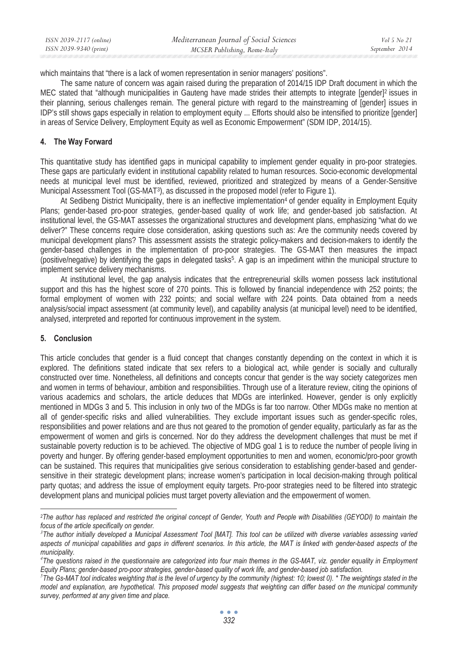| ISSN 2039-2117 (online) | Mediterranean Journal of Social Sciences | Vol 5 No 21    |
|-------------------------|------------------------------------------|----------------|
| ISSN 2039-9340 (print)  | MCSER Publishing, Rome-Italy             | September 2014 |

which maintains that "there is a lack of women representation in senior managers' positions".

The same nature of concern was again raised during the preparation of 2014/15 IDP Draft document in which the MEC stated that "although municipalities in Gauteng have made strides their attempts to integrate [gender]<sup>2</sup> issues in their planning, serious challenges remain. The general picture with regard to the mainstreaming of [gender] issues in IDP's still shows gaps especially in relation to employment equity ... Efforts should also be intensified to prioritize [gender] in areas of Service Delivery, Employment Equity as well as Economic Empowerment" (SDM IDP, 2014/15).

# **4. The Way Forward**

This quantitative study has identified gaps in municipal capability to implement gender equality in pro-poor strategies. These gaps are particularly evident in institutional capability related to human resources. Socio-economic developmental needs at municipal level must be identified, reviewed, prioritized and strategized by means of a Gender-Sensitive Municipal Assessment Tool (GS-MAT3), as discussed in the proposed model (refer to Figure 1).

At Sedibeng District Municipality, there is an ineffective implementation<sup>4</sup> of gender equality in Employment Equity Plans; gender-based pro-poor strategies, gender-based quality of work life; and gender-based job satisfaction. At institutional level, the GS-MAT assesses the organizational structures and development plans, emphasizing "what do we deliver?" These concerns require close consideration, asking questions such as: Are the community needs covered by municipal development plans? This assessment assists the strategic policy-makers and decision-makers to identify the gender-based challenges in the implementation of pro-poor strategies. The GS-MAT then measures the impact (positive/negative) by identifying the gaps in delegated tasks5. A gap is an impediment within the municipal structure to implement service delivery mechanisms.

At institutional level, the gap analysis indicates that the entrepreneurial skills women possess lack institutional support and this has the highest score of 270 points. This is followed by financial independence with 252 points; the formal employment of women with 232 points; and social welfare with 224 points. Data obtained from a needs analysis/social impact assessment (at community level), and capability analysis (at municipal level) need to be identified, analysed, interpreted and reported for continuous improvement in the system.

# **5. Conclusion**

This article concludes that gender is a fluid concept that changes constantly depending on the context in which it is explored. The definitions stated indicate that sex refers to a biological act, while gender is socially and culturally constructed over time. Nonetheless, all definitions and concepts concur that gender is the way society categorizes men and women in terms of behaviour, ambition and responsibilities. Through use of a literature review, citing the opinions of various academics and scholars, the article deduces that MDGs are interlinked. However, gender is only explicitly mentioned in MDGs 3 and 5. This inclusion in only two of the MDGs is far too narrow. Other MDGs make no mention at all of gender-specific risks and allied vulnerabilities. They exclude important issues such as gender-specific roles, responsibilities and power relations and are thus not geared to the promotion of gender equality, particularly as far as the empowerment of women and girls is concerned. Nor do they address the development challenges that must be met if sustainable poverty reduction is to be achieved. The objective of MDG goal 1 is to reduce the number of people living in poverty and hunger. By offering gender-based employment opportunities to men and women, economic/pro-poor growth can be sustained. This requires that municipalities give serious consideration to establishing gender-based and gendersensitive in their strategic development plans; increase women's participation in local decision-making through political party quotas; and address the issue of employment equity targets. Pro-poor strategies need to be filtered into strategic development plans and municipal policies must target poverty alleviation and the empowerment of women.

 *2The author has replaced and restricted the original concept of Gender, Youth and People with Disabilities (GEYODI) to maintain the focus of the article specifically on gender.* 

<sup>&</sup>lt;sup>3</sup> The author initially developed a Municipal Assessment Tool [MAT]. This tool can be utilized with diverse variables assessing varied *aspects of municipal capabilities and gaps in different scenarios. In this article, the MAT is linked with gender-based aspects of the municipality.* 

*<sup>4</sup> The questions raised in the questionnaire are categorized into four main themes in the GS-MAT, viz. gender equality in Employment Equity Plans; gender-based pro-poor strategies, gender-based quality of work life, and gender-based job satisfaction.* 

*<sup>5</sup> The Gs-MAT tool indicates weighting that is the level of urgency by the community (highest: 10; lowest 0). \* The weightings stated in the model and explanation, are hypothetical. This proposed model suggests that weighting can differ based on the municipal community survey, performed at any given time and place.*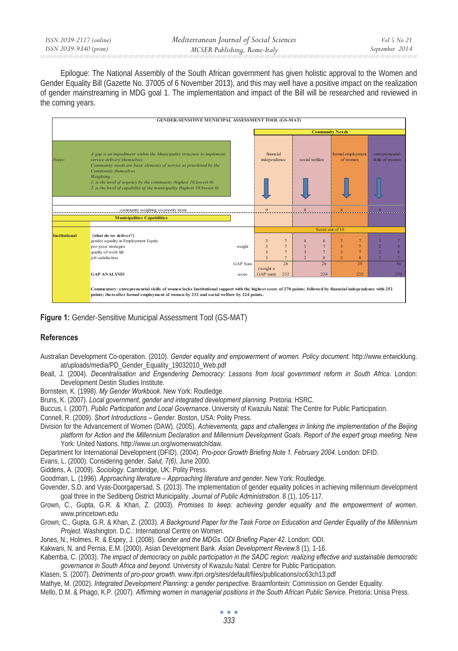| ISSN 2039-2117 (online) | Mediterranean Journal of Social Sciences |
|-------------------------|------------------------------------------|
| ISSN 2039-9340 (print)  | MCSER Publishing, Rome-Italy             |

Epilogue: The National Assembly of the South African government has given holistic approval to the Women and Gender Equality Bill (Gazette No. 37005 of 6 November 2013), and this may well have a positive impact on the realization of gender mainstreaming in MDG goal 1. The implementation and impact of the Bill will be researched and reviewed in the coming years.



**Figure 1:** Gender-Sensitive Municipal Assessment Tool (GS-MAT)

#### **References**

- Australian Development Co-operation. (2010). *Gender equality and empowerment of women. Policy document.* http://www.entwicklung. at/uploads/media/PD\_Gender\_Equality\_19032010\_Web.pdf
- Beall, J. (2004). *Decentralisation and Engendering Democracy: Lessons from local government reform in South Africa*. London: Development Destin Studies Institute.

Bornstein, K. (1998). *My Gender Workbook*. New York: Routledge.

Bruns, K. (2007). *Local government, gender and integrated development planning*. Pretoria: HSRC.

Buccus, I. (2007). *Public Participation and Local Governance*. University of Kwazulu Natal: The Centre for Public Participation.

Connell, R. (2009). *Short Introductions – Gender*. Boston, USA: Polity Press.

Division for the Advancement of Women (DAW). (2005). *Achievements, gaps and challenges in linking the implementation of the Beijing platform for Action and the Millennium Declaration and Millennium Development Goals. Report of the expert group meeting.* New York: United Nations. http://www.un.org/womenwatch/daw.

Department for International Development (DFID). (2004). *Pro-poor Growth Briefing Note 1. February 2004*. London: DFID.

Evans, L. (2000). Considering gender. *Salut, 7(6)*, June 2000.

Giddens, A. (2009). *Sociology*. Cambridge, UK: Polity Press.

Goodman, L. (1996). *Approaching literature – Approaching literature and gender*. New York: Routledge.

Govender, S.D. and Vyas-Doorgapersad, S. (2013). The implementation of gender equality policies in achieving millennium development goal three in the Sedibeng District Municipality. *Journal of Public Administration*. 8 (1), 105-117.

Grown, C., Gupta, G.R. & Khan, Z. (2003). *Promises to keep: achieving gender equality and the empowerment of women*. www.princetown.edu

Grown, C., Gupta, G.R. & Khan, Z. (2003). *A Background Paper for the Task Force on Education and Gender Equality of the Millennium Project*. Washington. D.C.: International Centre on Women.

Jones, N., Holmes, R. & Espey, J. (2008). *Gender and the MDGs. ODI Briefing Paper 42*. London: ODI.

Kakwani, N. and Pernia, E.M. (2000). Asian Development Bank. *Asian Development Review.*8 (1), 1-16.

Kabemba, C. (2003). *The impact of democracy on public participation in the SADC region: realizing effective and sustainable democratic governance in South Africa and beyond*. University of Kwazulu Natal: Centre for Public Participation.

Klasen, S. (2007). *Detriments of pro-poor growth*. www.ifpri.org/sites/default/files/publications/oc63ch13.pdf

Mathye, M. (2002). *Integrated Development Planning: a gender perspective*. Braamfontein: Commission on Gender Equality.

Mello, D.M. & Phago, K.P. (2007). *Affirming women in managerial positions in the South African Public Service*. Pretoria: Unisa Press.